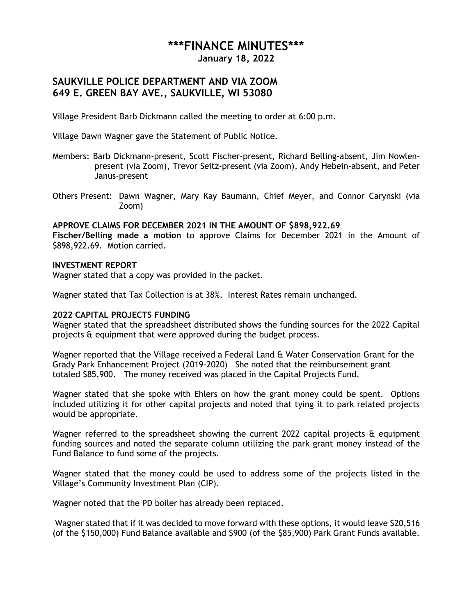# **\*\*\*FINANCE MINUTES\*\*\***

**January 18, 2022**

# **SAUKVILLE POLICE DEPARTMENT AND VIA ZOOM 649 E. GREEN BAY AVE., SAUKVILLE, WI 53080**

Village President Barb Dickmann called the meeting to order at 6:00 p.m.

Village Dawn Wagner gave the Statement of Public Notice.

- Members: Barb Dickmann-present, Scott Fischer-present, Richard Belling-absent, Jim Nowlenpresent (via Zoom), Trevor Seitz-present (via Zoom), Andy Hebein-absent, and Peter Janus-present
- Others Present: Dawn Wagner, Mary Kay Baumann, Chief Meyer, and Connor Carynski (via Zoom)

# **APPROVE CLAIMS FOR DECEMBER 2021 IN THE AMOUNT OF \$898,922.69**

**Fischer/Belling made a motion** to approve Claims for December 2021 in the Amount of \$898,922.69. Motion carried.

## **INVESTMENT REPORT**

Wagner stated that a copy was provided in the packet.

Wagner stated that Tax Collection is at 38%. Interest Rates remain unchanged.

### **2022 CAPITAL PROJECTS FUNDING**

Wagner stated that the spreadsheet distributed shows the funding sources for the 2022 Capital projects & equipment that were approved during the budget process.

Wagner reported that the Village received a Federal Land & Water Conservation Grant for the Grady Park Enhancement Project (2019-2020) She noted that the reimbursement grant totaled \$85,900. The money received was placed in the Capital Projects Fund.

Wagner stated that she spoke with Ehlers on how the grant money could be spent. Options included utilizing it for other capital projects and noted that tying it to park related projects would be appropriate.

Wagner referred to the spreadsheet showing the current 2022 capital projects & equipment funding sources and noted the separate column utilizing the park grant money instead of the Fund Balance to fund some of the projects.

Wagner stated that the money could be used to address some of the projects listed in the Village's Community Investment Plan (CIP).

Wagner noted that the PD boiler has already been replaced.

Wagner stated that if it was decided to move forward with these options, it would leave \$20,516 (of the \$150,000) Fund Balance available and \$900 (of the \$85,900) Park Grant Funds available.